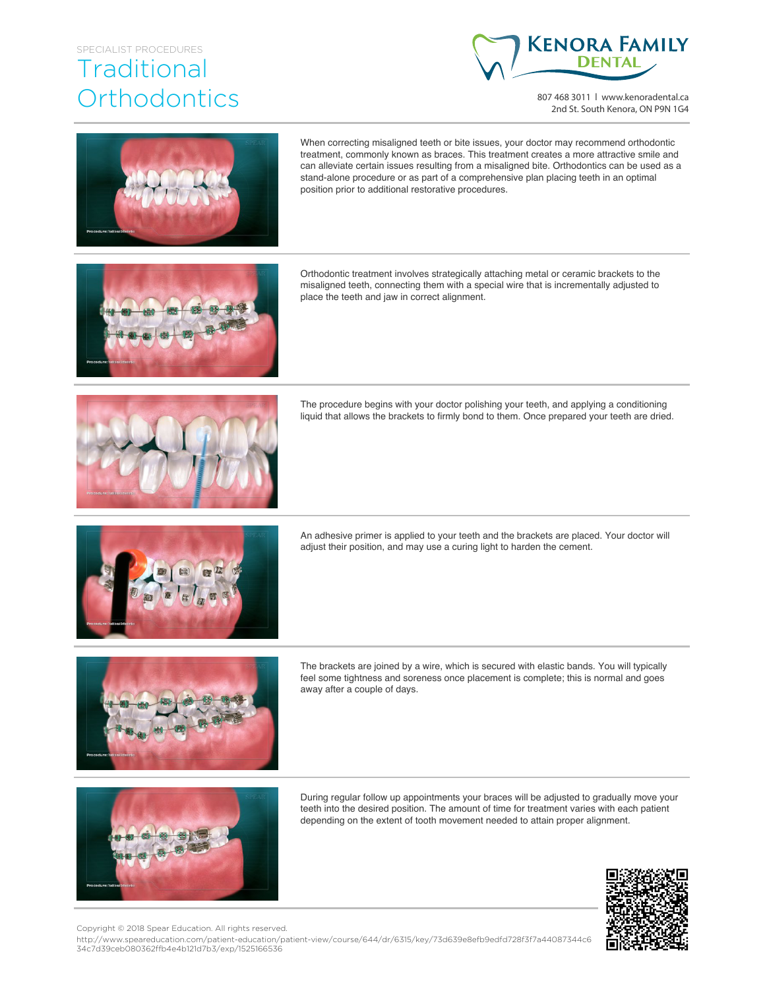## SPECIALIST PROCEDURES **Traditional Orthodontics**



807 468 3011 | www.kenoradental.ca 2nd St. South Kenora, ON P9N 1G4



When correcting misaligned teeth or bite issues, your doctor may recommend orthodontic treatment, commonly known as braces. This treatment creates a more attractive smile and can alleviate certain issues resulting from a misaligned bite. Orthodontics can be used as a stand-alone procedure or as part of a comprehensive plan placing teeth in an optimal position prior to additional restorative procedures.



Orthodontic treatment involves strategically attaching metal or ceramic brackets to the misaligned teeth, connecting them with a special wire that is incrementally adjusted to place the teeth and jaw in correct alignment.



The procedure begins with your doctor polishing your teeth, and applying a conditioning liquid that allows the brackets to firmly bond to them. Once prepared your teeth are dried.



An adhesive primer is applied to your teeth and the brackets are placed. Your doctor will adjust their position, and may use a curing light to harden the cement.



The brackets are joined by a wire, which is secured with elastic bands. You will typically feel some tightness and soreness once placement is complete; this is normal and goes away after a couple of days.



During regular follow up appointments your braces will be adjusted to gradually move your teeth into the desired position. The amount of time for treatment varies with each patient depending on the extent of tooth movement needed to attain proper alignment.



Copyright © 2018 Spear Education. All rights reserved.

http://www.speareducation.com/patient-education/patient-view/course/644/dr/6315/key/73d639e8efb9edfd728f3f7a44087344c6 34c7d39ceb080362ffb4e4b121d7b3/exp/1525166536